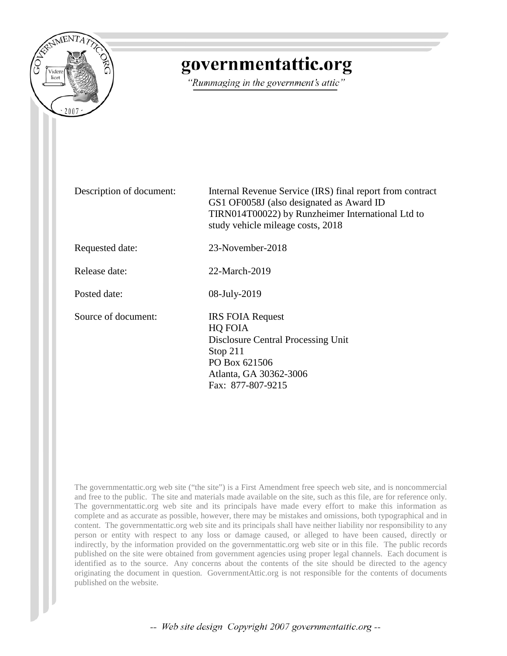

## governmentattic.org

"Rummaging in the government's attic"

Description of document: Internal Revenue Service (IRS) final report from contract GS1 OF0058J (also designated as Award ID TIRN014T00022) by Runzheimer International Ltd to study vehicle mileage costs, 2018 Requested date: 23-November-2018 Release date: 22-March-2019 Posted date: 08-July-2019 Source of document: **IRS FOIA Request** HQ FOIA Disclosure Central Processing Unit Stop 211 PO Box 621506 Atlanta, GA 30362-3006 Fax: [877-807-9215](tel:877-807-9215)

The governmentattic.org web site ("the site") is a First Amendment free speech web site, and is noncommercial and free to the public. The site and materials made available on the site, such as this file, are for reference only. The governmentattic.org web site and its principals have made every effort to make this information as complete and as accurate as possible, however, there may be mistakes and omissions, both typographical and in content. The governmentattic.org web site and its principals shall have neither liability nor responsibility to any person or entity with respect to any loss or damage caused, or alleged to have been caused, directly or indirectly, by the information provided on the governmentattic.org web site or in this file. The public records published on the site were obtained from government agencies using proper legal channels. Each document is identified as to the source. Any concerns about the contents of the site should be directed to the agency originating the document in question. GovernmentAttic.org is not responsible for the contents of documents published on the website.

-- Web site design Copyright 2007 governmentattic.org --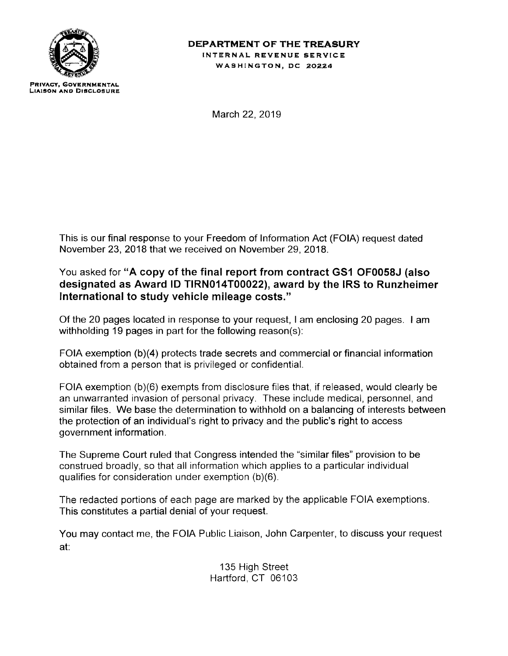

## **DEPARTMENT OF THE TREASURY INTERNAL REVENUE SERVICE WASHINGTON, DC 20224**

**PRIVACY, GOYERNMENTAL LIAISON AND Dl9CLOSURE** 

March 22, 2019

This is our final response to your Freedom of Information Act (FOIA) request dated November 23, 2018 that we received on November 29, 2018.

## You asked for **"A copy of the final report from contract GS1 OF0058J (also designated as Award ID TIRN014T00022), award by the IRS to Runzheimer International to study vehicle mileage costs."**

Of the 20 pages located in response to your request, I am enclosing 20 pages. I am withholding 19 pages in part for the following reason(s):

FOIA exemption (b)(4) protects trade secrets and commercial or financial information obtained from a person that is privileged or confidential.

FOIA exemption (b)(6) exempts from disclosure files that, if released, would clearly be an unwarranted invasion of personal privacy. These include medical, personnel, and similar files. We base the determination to withhold on a balancing of interests between the protection of an individual's right to privacy and the public's right to access government information.

The Supreme Court ruled that Congress intended the "similar files" provision to be construed broadly, so that all information which applies to a particular individual qualifies for consideration under exemption (b)(6).

The redacted portions of each page are marked by the applicable FOIA exemptions. This constitutes a partial denial of your request.

You may contact me, the FOIA Public Liaison, John Carpenter, to discuss your request at:

> 135 High Street Hartford, CT 06103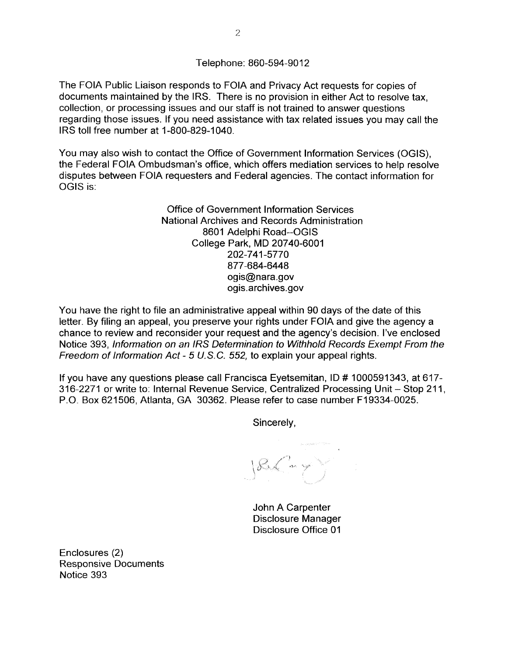Telephone: 860-594-9012

The FOIA Public Liaison responds to FOIA and Privacy Act requests for copies of documents maintained by the IRS. There is no provision in either Act to resolve tax, collection, or processing issues and our staff is not trained to answer questions regarding those issues. If you need assistance with tax related issues you may call the IRS toll free number at 1-800-829-1040.

You may also wish to contact the Office of Government Information Services (OGIS), the Federal FOIA Ombudsman's office, which offers mediation services to help resolve disputes between FOIA requesters and Federal agencies. The contact information for OGIS is:

> Office of Government Information Services National Archives and Records Administration 8601 Adelphi Road--OGIS College Park, MD 20740-6001 202-741-5770 877 **-684-6448**  ogis@nara.gov ogis.archives.gov

You have the right to file an administrative appeal within 90 days of the date of this letter. By filing an appeal, you preserve your rights under FOIA and give the agency a chance to review and reconsider your request and the agency's decision. I've enclosed Notice 393, Information on an IRS Determination to Withhold Records Exempt From the Freedom of Information Act- 5 U.S.C. 552, to explain your appeal rights.

If you have any questions please call Francisca Eyetsemitan, ID # 1000591343, at 617-316-2271 or write to: Internal Revenue Service, Centralized Processing Unit - Stop 211, P.O. Box 621506, Atlanta, GA 30362. Please refer to case number F19334-0025.

Sincerely,

 $\big|\mathcal{E} \big( - \big)$ 

John A Carpenter Disclosure Manager Disclosure Office 01

Enclosures (2) Responsive Documents Notice 393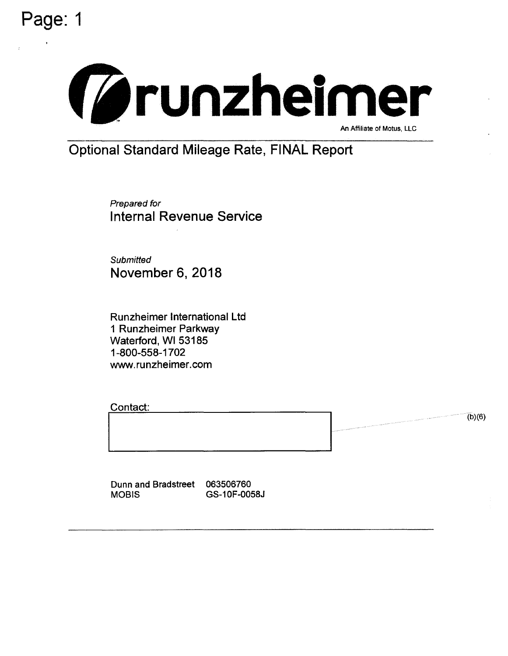



Prepared for Internal Revenue Service

**Submitted** November 6, 2018

Runzheimer International Ltd 1 Runzheimer Parkway Waterford, WI 53185 1-800-558-1702 www.runzheimer.com

Contact: I~--~' . . . .

 $(b)(6)$ 

Dunn and Bradstreet 063506760 MOBIS GS-1 0F-0058J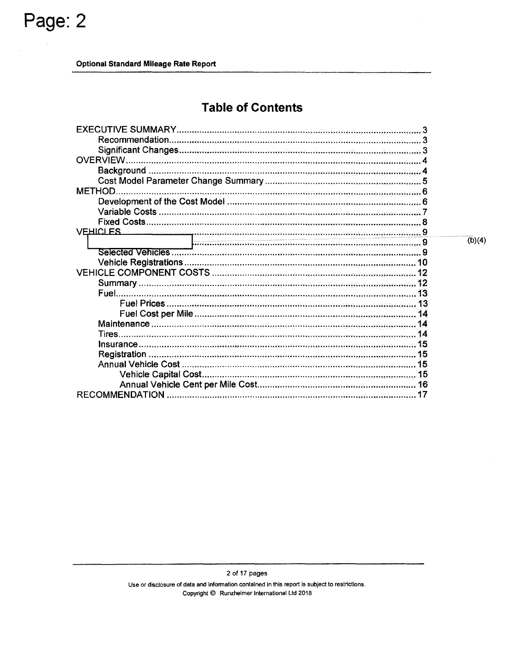## **Table of Contents**

| <b>EXECUTIVE SUMMARY</b>                                                                                                                     |  |
|----------------------------------------------------------------------------------------------------------------------------------------------|--|
| Recommendation<br>.<br>V programa je grada u programa ostala svoj starija svoj programa i programa i programa i programa i programa i        |  |
|                                                                                                                                              |  |
| <b>OVERVIEW</b>                                                                                                                              |  |
| Background                                                                                                                                   |  |
|                                                                                                                                              |  |
| <b>METHOD</b>                                                                                                                                |  |
|                                                                                                                                              |  |
| <b>Variable Costs</b><br>.<br>In provincia de la provincia de la provincia de la provincia de la provincia de la provincia de la provincia d |  |
| <b>Fixed Costs</b>                                                                                                                           |  |
| <b>VEHICLES</b><br>.<br>موقوع والان الموجود والموجود والرائع والإيمان ومحدث ومؤخرة وحادث والمواد والمحدثة والمحدثة والمحدث والمنابذة المحد   |  |
|                                                                                                                                              |  |
| Selected Vehicles.                                                                                                                           |  |
|                                                                                                                                              |  |
|                                                                                                                                              |  |
| Summary.                                                                                                                                     |  |
| Fuel                                                                                                                                         |  |
| 13                                                                                                                                           |  |
|                                                                                                                                              |  |
| Maintenance<br><u>. A maria de la construcción de la construcción de la construcción de la construcción de la construcción de la</u>         |  |
| Tires<br>14                                                                                                                                  |  |
| Insurance                                                                                                                                    |  |
| Registration<br>15                                                                                                                           |  |
| 15                                                                                                                                           |  |
|                                                                                                                                              |  |
|                                                                                                                                              |  |
| RECOMMENDATION                                                                                                                               |  |

 $\overline{(b)}(4)$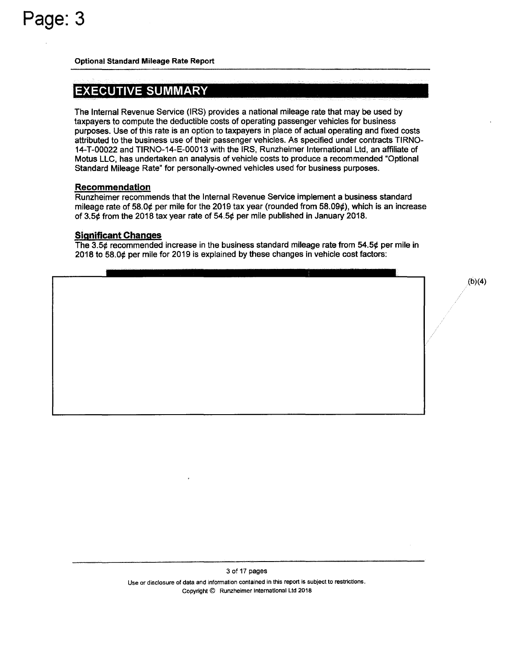## EXECUTIVE **SUMMARY**

The Internal Revenue Service (IRS) provides a national mileage rate that may be used by taxpayers to compute the deductible costs of operating passenger vehicles for business purposes. Use of this rate is an option to taxpayers in place of actual operating and fixed costs attributed to the business use of their passenger vehicles. As specified under contracts TIRNO-14-T-00022 and TIRNO-14-E-00013 with the IRS, Runzheimer International Ltd, an affiliate of Motus LLC, has undertaken an analysis of vehicle costs to produce a recommended "Optional Standard Mileage Rate" for personally-owned vehicles used for business purposes.

#### **Recommendation**

Runzheimer recommends that the Internal Revenue Service implement a business standard mileage rate of 58.0¢ per mile for the 2019 tax year (rounded from 58.09¢), which is an increase of 3.5¢ from the 2018 tax year rate of 54.5¢ per mile published in January 2018.

## **Significant Changes**

The 3.5¢ recommended increase in the business standard mileage rate from 54.5¢ per mile in 2018 to 58.0¢ per mile for 2019 is explained by these changes in vehicle cost factors:

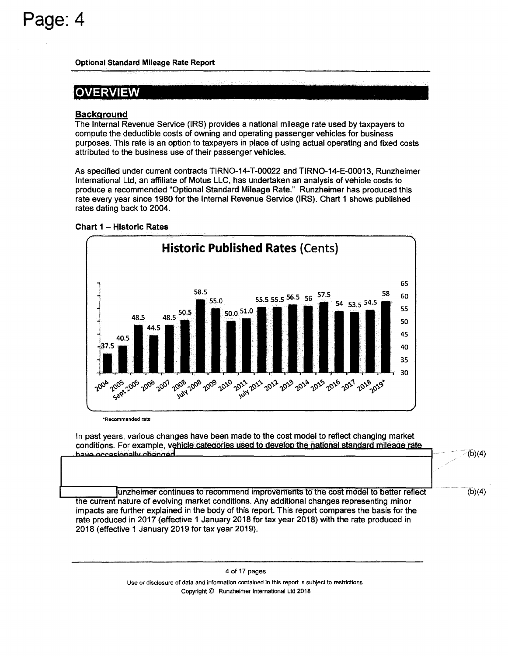## **OVERVIEW**

## **Background**

The Internal Revenue Service (IRS) provides a national mileage rate used by taxpayers to compute the deductible costs of owning and operating passenger vehicles for business purposes. This rate is an option to taxpayers in place of using actual operating and fixed costs attributed to the business use of their passenger vehicles.

As specified under current contracts TIRNO-14-T-00022 and TIRNO-14-E-00013, Runzheimer International Ltd, an affiliate of Motus LLC, has undertaken an analysis of vehicle costs to produce a recommended "Optional Standard Mileage Rate." Runzheimer has produced this rate every year since 1980 for the Internal Revenue Service (IRS). Chart 1 shows published rates dating back to 2004.





\*Recommended rate

In past years, various changes have been made to the cost model to reflect changing market conditions. For example, vehicle categories used to develop the national standard mileage rate have occasionally changed

unzheimer continues to recommend improvements to the cost model to better reflect the current nature of evolving market conditions. Any additional changes representing minor impacts are further explained in the body of this report. This report compares the basis for the rate produced in 2017 (effective 1 January 2018 for tax year 2018) with the rate produced in 2018 (effective 1 January 2019 for tax year 2019).  $(b)(4)$ 

 $(b)(4)$ 

4 of 17 pages Use or disclosure of data and information contained in this report is subject to restrictions. Copyright© Runzheimer International Ltd 2018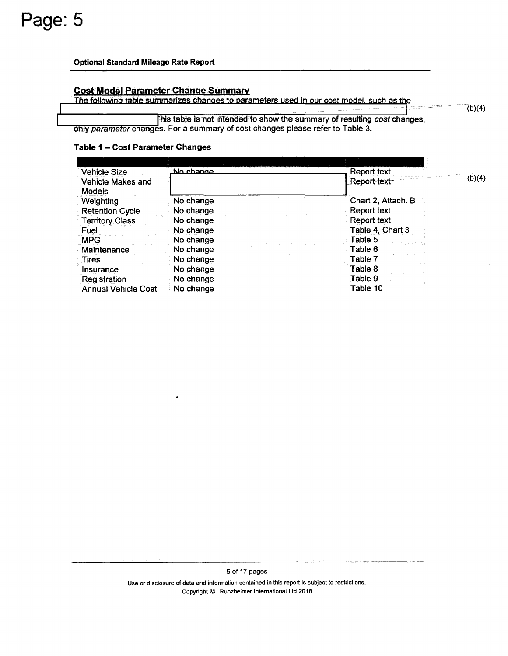### **Cost Model Parameter Change Summary**

The following table summarizes changes to parameters used in our cost model, such as the

his-table is not intended to show the summary of resulting *cost* changes, only parameter changes. For a summary of cost changes please refer to Table 3.

## **Table 1** - **Cost Parameter Changes**

| Vehicle Size                       | No change | Report text        |        |
|------------------------------------|-----------|--------------------|--------|
| Vehicle Makes and<br><b>Models</b> |           | Report text        | (b)(4) |
| Weighting                          | No change | Chart 2, Attach. B |        |
| <b>Retention Cycle</b>             | No change | Report text        |        |
| <b>Territory Class</b>             | No change | Report text        |        |
| Fuel                               | No change | Table 4, Chart 3   |        |
| <b>MPG</b>                         | No change | Table 5            |        |
| Maintenance                        | No change | Table 6            |        |
| Tires                              | No change | Table 7            |        |
| Insurance                          | No change | Table 8            |        |
| Registration                       | No change | Table 9            |        |
| <b>Annual Vehicle Cost</b>         | No change | Table 10           |        |

5 of 17 pages Use or disclosure of data and information contained in this report is subject to restrictions. Copyright© Runzheimer International Ltd 2018

 $(b)(4)$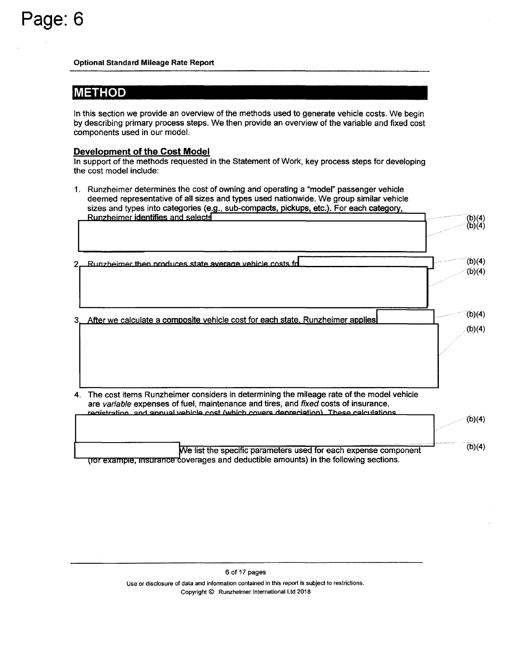## **METHOD**

In this section we provide an overview of the methods used to generate vehicle costs. We begin by describing primary process steps. We then provide an overview of the variable and fixed cost components used in our model.

## **Development of the Cost Model**

In support of the methods requested in the Statement of Work, key process steps for developing the cost model include:

| $1_{-}$ | Runzheimer determines the cost of owning and operating a "model" passenger vehicle<br>deemed representative of all sizes and types used nationwide. We group similar vehicle<br>sizes and types into categories (e.g., sub-compacts, pickups, etc.). For each category,  |        |
|---------|--------------------------------------------------------------------------------------------------------------------------------------------------------------------------------------------------------------------------------------------------------------------------|--------|
|         | Runzheimer identifies and selects                                                                                                                                                                                                                                        | (b)(4) |
|         |                                                                                                                                                                                                                                                                          | (b)(4) |
|         |                                                                                                                                                                                                                                                                          | (b)(4) |
|         | Runzheimer then produces state average vehicle costs fd.                                                                                                                                                                                                                 | (b)(4) |
|         |                                                                                                                                                                                                                                                                          | (b)(4) |
|         | 3. After we calculate a composite vehicle cost for each state, Runzheimer applies                                                                                                                                                                                        | (b)(4) |
| 4.      | The cost items Runzheimer considers in determining the mileage rate of the model vehicle<br>are variable expenses of fuel, maintenance and tires, and fixed costs of insurance,<br>registration, and annual vehicle cost (which covers depreciation). These calculations |        |
|         |                                                                                                                                                                                                                                                                          | (b)(4) |
|         | We list the specific parameters used for each expense component                                                                                                                                                                                                          | (b)(4) |
|         | (for example, insurance coverages and deductible amounts) in the following sections.                                                                                                                                                                                     |        |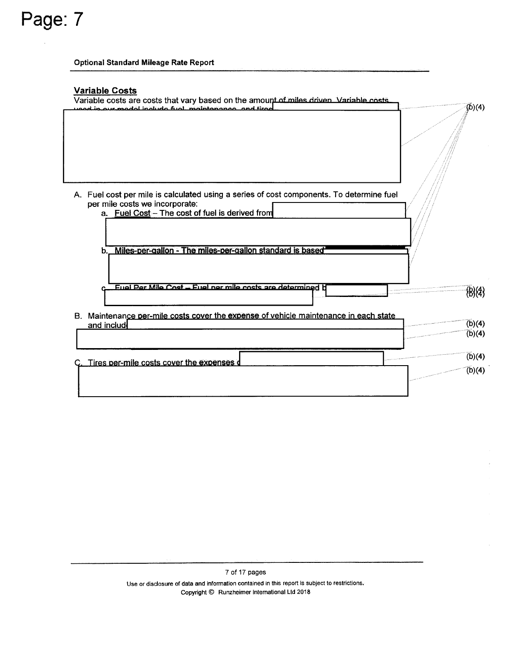**Page:7** 

## **Variable Costs**

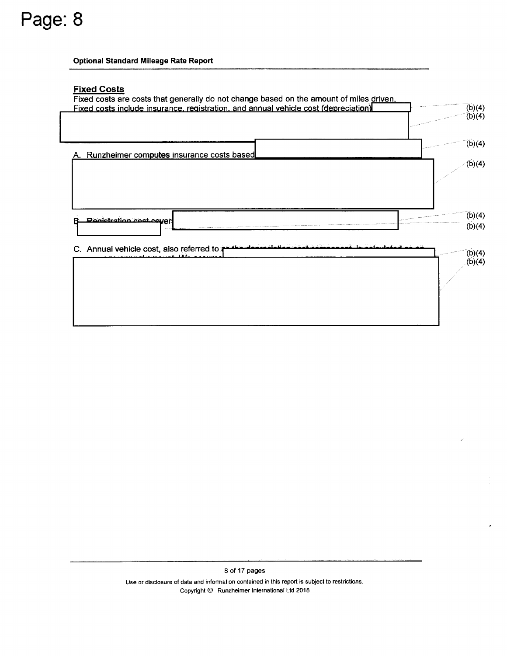**Page:8** 

## **Fixed Costs**



8 of 17 pages Use or disclosure of data and information contained in this report is subject to restrictions. Copyright© Runzheimer International Ltd 2018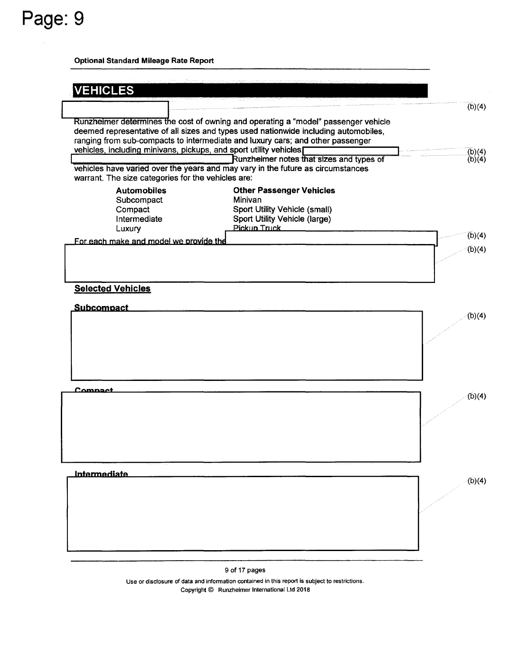Page: 9

| <b>VEHICLES</b>                                                                                                                       |                                                                                                                                                                                                                                                             |                      |
|---------------------------------------------------------------------------------------------------------------------------------------|-------------------------------------------------------------------------------------------------------------------------------------------------------------------------------------------------------------------------------------------------------------|----------------------|
|                                                                                                                                       |                                                                                                                                                                                                                                                             | (b)(4)               |
| vehicles, including minivans, pickups, and sport utility vehicles[                                                                    | Runzheimer determines the cost of owning and operating a "model" passenger vehicle<br>deemed representative of all sizes and types used nationwide including automobiles,<br>ranging from sub-compacts to intermediate and luxury cars; and other passenger |                      |
|                                                                                                                                       | Runzheimer notes that sizes and types of                                                                                                                                                                                                                    | $(b)(4)$<br>$(b)(4)$ |
| vehicles have varied over the years and may vary in the future as circumstances<br>warrant. The size categories for the vehicles are: |                                                                                                                                                                                                                                                             |                      |
| <b>Automobiles</b><br>Subcompact<br>Compact                                                                                           | <b>Other Passenger Vehicles</b><br>Minivan<br>Sport Utility Vehicle (small)                                                                                                                                                                                 |                      |
| Intermediate                                                                                                                          | Sport Utility Vehicle (large)<br>Pickup Truck                                                                                                                                                                                                               |                      |
| Luxury                                                                                                                                |                                                                                                                                                                                                                                                             | (b)(4)               |
| For each make and model we provide the                                                                                                |                                                                                                                                                                                                                                                             | (b)(4)               |
| <b>Selected Vehicles</b>                                                                                                              |                                                                                                                                                                                                                                                             |                      |
| <b>Subcompact</b>                                                                                                                     |                                                                                                                                                                                                                                                             | (b)(4)               |
|                                                                                                                                       |                                                                                                                                                                                                                                                             |                      |
|                                                                                                                                       |                                                                                                                                                                                                                                                             |                      |
|                                                                                                                                       |                                                                                                                                                                                                                                                             |                      |
| Comnaet                                                                                                                               |                                                                                                                                                                                                                                                             | (b)(4)               |
|                                                                                                                                       |                                                                                                                                                                                                                                                             |                      |
|                                                                                                                                       |                                                                                                                                                                                                                                                             |                      |
|                                                                                                                                       |                                                                                                                                                                                                                                                             |                      |
| <b>Intermediate</b>                                                                                                                   |                                                                                                                                                                                                                                                             | (b)(4)               |
|                                                                                                                                       |                                                                                                                                                                                                                                                             |                      |
|                                                                                                                                       |                                                                                                                                                                                                                                                             |                      |
|                                                                                                                                       |                                                                                                                                                                                                                                                             |                      |
|                                                                                                                                       |                                                                                                                                                                                                                                                             |                      |
|                                                                                                                                       |                                                                                                                                                                                                                                                             |                      |

9 of 17 pages

Use or disclosure of data and information contained in this report is subject to restrictions. Copyright© Runzheimer International Ltd 2018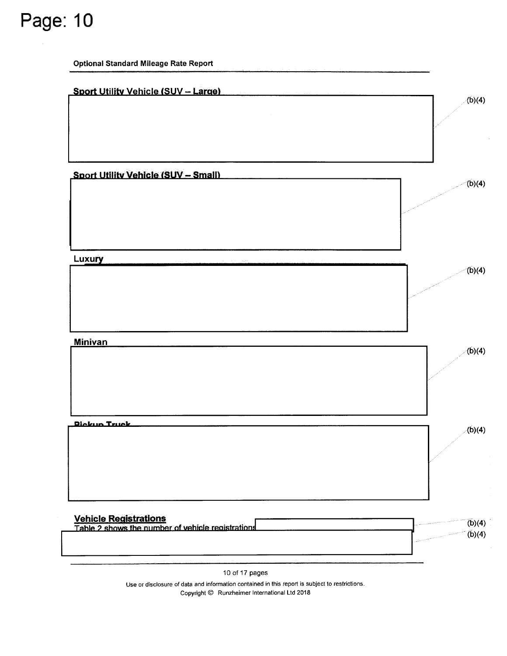**Optional Standard Mileage Rate Report** 



Use or disclosure of data and information contained in this report is subject to restrictions. Copyright© Runzheimer International Ltd 2018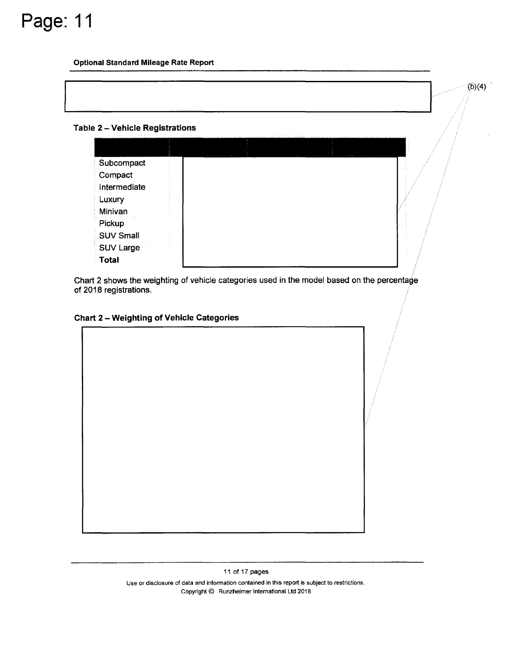

### **Table 2** - **Vehicle Registrations**

| Subcompact       |  |  |  |
|------------------|--|--|--|
| Compact          |  |  |  |
| Intermediate     |  |  |  |
| Luxury           |  |  |  |
| Minivan          |  |  |  |
| Pickup           |  |  |  |
| <b>SUV Small</b> |  |  |  |
| <b>SUV Large</b> |  |  |  |
| Total            |  |  |  |

 $(b)(4)$ 

Chart 2 shows the weighting of vehicle categories used in the model based on the percentage of 2018 registrations.

## **Chart 2** - **Weighting of Vehicle Categories**

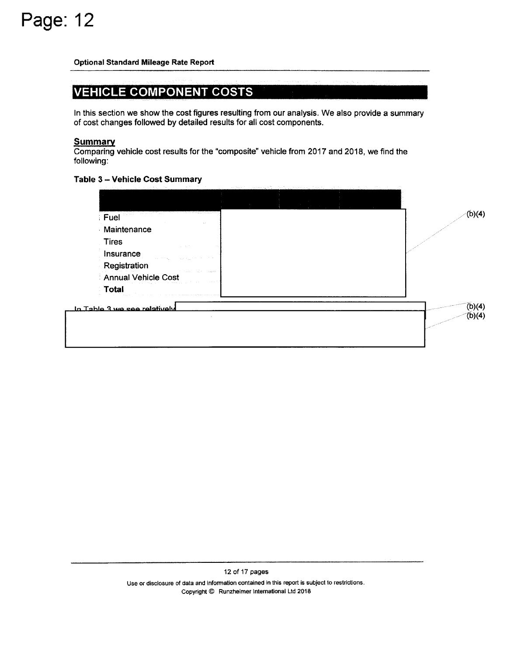## VEHICLE COMPONENT COSTS

In this section we show the cost figures resulting from our analysis. We also provide a summary of cost changes followed by detailed results for all cost components.

## **Summary**

Comparing vehicle cost results for the "composite" vehicle from 2017 and 2018, we find the following:

## **Table 3** - **Vehicle Cost Summary**

| Fuel<br>Maintenance                             |  |
|-------------------------------------------------|--|
| <b>Tires</b>                                    |  |
| Insurance                                       |  |
| Registration                                    |  |
| the state of the company<br>Annual Vehicle Cost |  |
| Total                                           |  |
| In Table 3 we see relatively                    |  |
|                                                 |  |

12 of 17 pages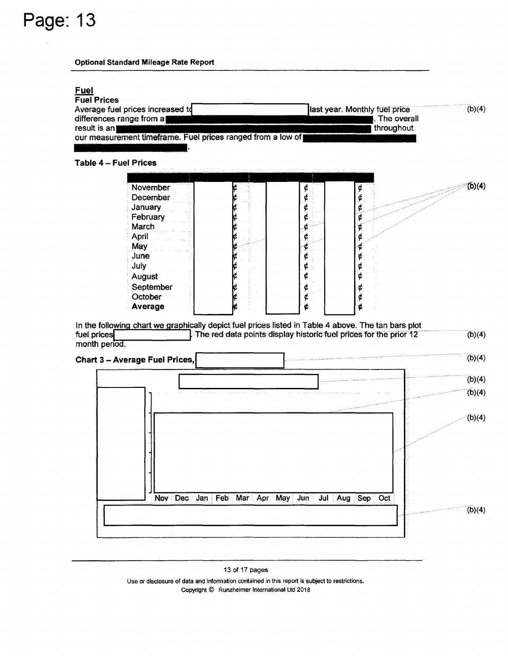| <b>Fuel</b><br><b>Fuel Prices</b>                                                                   |                                                                   |             |
|-----------------------------------------------------------------------------------------------------|-------------------------------------------------------------------|-------------|
| Average fuel prices increased to                                                                    | last year. Monthly fuel price                                     | (b)(4)      |
| differences range from a)                                                                           |                                                                   | The overall |
| result is an                                                                                        | throughout                                                        |             |
| our measurement timeframe. Fuel prices ranged from a low of                                         |                                                                   |             |
|                                                                                                     |                                                                   |             |
| Table 4 - Fuel Prices                                                                               |                                                                   |             |
|                                                                                                     |                                                                   |             |
| November                                                                                            | ¢<br>¢                                                            | (b)(4)      |
| December                                                                                            | ¢<br>¢                                                            |             |
| January                                                                                             | ¢<br>¢                                                            |             |
| February                                                                                            | ¢                                                                 |             |
| March                                                                                               | ¢                                                                 |             |
| April                                                                                               | ¢                                                                 |             |
| May                                                                                                 | ¢                                                                 |             |
| June<br>July                                                                                        | ¢<br>¢<br>¢<br>¢                                                  |             |
| August                                                                                              | ¢<br>¢                                                            |             |
| September                                                                                           | ¢<br>¢                                                            |             |
| October                                                                                             | ¢<br>¢                                                            |             |
| Average                                                                                             | Ć<br>¢                                                            |             |
|                                                                                                     |                                                                   |             |
| In the following chart we graphically depict fuel prices listed in Table 4 above. The tan bars plot |                                                                   |             |
| fuel prices<br>month period.                                                                        | The red data points display historic fuel prices for the prior 12 | (b)(4)      |
| <b>Chart 3 - Average Fuel Prices,</b>                                                               |                                                                   | (b)(4)      |
|                                                                                                     |                                                                   |             |
|                                                                                                     |                                                                   | (b)(4)      |
|                                                                                                     |                                                                   | (b)(4)      |
|                                                                                                     |                                                                   |             |
|                                                                                                     |                                                                   |             |
|                                                                                                     |                                                                   | (b)(4)      |
|                                                                                                     |                                                                   |             |
|                                                                                                     |                                                                   |             |
|                                                                                                     |                                                                   |             |
|                                                                                                     |                                                                   |             |
|                                                                                                     |                                                                   |             |
|                                                                                                     |                                                                   |             |
| Nov Dec Jan Feb Mar Apr May Jun Jul Aug Sep Oct                                                     |                                                                   |             |
|                                                                                                     |                                                                   | (b)(4)      |
|                                                                                                     |                                                                   |             |
|                                                                                                     |                                                                   |             |

13 of 17 pages

Use or disclosure of data and information contained in this report is subject to restrictions. Copyright © Runzheimer International Ltd 2018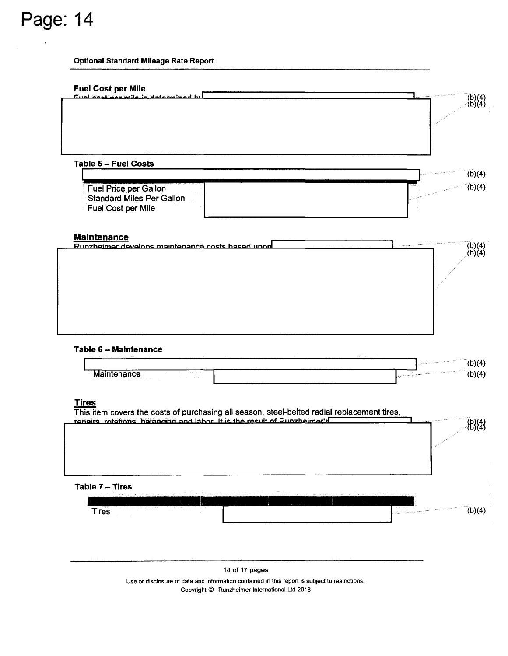## **Optional Standard Mileage Rate Report**

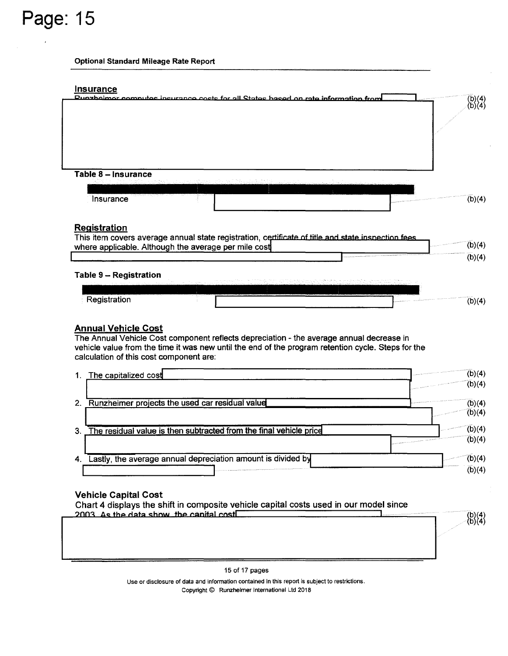#### **Optional Standard Mileage Rate Report**

## **Insurance** Dunzhoimor computes insurance costs for all States hased on rate information from  $\binom{b}{b}(4)$ **Table 8** - **Insurance**  Insurance  $(b)(4)$ **Registration**  This item covers average annual state registration, certificate of title and state inspection fees  $(b)(4)$ where applicable. Although the average per mile cost  $(b)(4)$ **Table 9** - **Registration**  Registration  $(b)(4)$

## **Annual Vehicle Cost**

The Annual Vehicle Cost component reflects depreciation - the average annual decrease in vehicle value from the time it was new until the end of the program retention cycle. Steps for the calculation of this cost component are:

|    | 1. The capitalized cost                                               | supported the continue of the continue of the continue of the continue of the continue of the continue of the continue of the continue of the continue of the continue of the continue of the continue of the continue of the                                                                                                                                                                                                                                                                     |  |
|----|-----------------------------------------------------------------------|---------------------------------------------------------------------------------------------------------------------------------------------------------------------------------------------------------------------------------------------------------------------------------------------------------------------------------------------------------------------------------------------------------------------------------------------------------------------------------------------------|--|
|    |                                                                       | surveyed the contract of the contract of the contract of the contract of the contract of the contract of the contract of the contract of the contract of the contract of the contract of the contract of the contract of the c                                                                                                                                                                                                                                                                    |  |
| 2. | Runzheimer projects the used car residual value                       |                                                                                                                                                                                                                                                                                                                                                                                                                                                                                                   |  |
|    |                                                                       |                                                                                                                                                                                                                                                                                                                                                                                                                                                                                                   |  |
|    | 3. The residual value is then subtracted from the final vehicle price |                                                                                                                                                                                                                                                                                                                                                                                                                                                                                                   |  |
|    |                                                                       |                                                                                                                                                                                                                                                                                                                                                                                                                                                                                                   |  |
|    | Lastly, the average annual depreciation amount is divided by          |                                                                                                                                                                                                                                                                                                                                                                                                                                                                                                   |  |
|    |                                                                       | $\label{eq:constr} \begin{array}{ll} \hline \end{array} \hspace{-0.25cm} \begin{array}{ll} \hline \end{array} \hspace{-0.25cm} \begin{array}{ll} \hline \end{array} \hspace{-0.25cm} \begin{array}{ll} \hline \end{array} \hspace{-0.25cm} \begin{array}{ll} \hline \end{array} \hspace{-0.25cm} \begin{array}{ll} \hline \end{array} \hspace{-0.25cm} \begin{array}{ll} \hline \end{array} \hspace{-0.25cm} \begin{array}{ll} \hline \end{array} \hspace{-0.25cm} \begin{array}{ll} \hline \end$ |  |

 $\binom{b}{b} \binom{4}{4}$ 

## **Vehicle Capital Cost**

Chart 4 displays the shift in composite vehicle capital costs used in our model since  $2003$  As the data show the canital cost

15 of 17 pages

Use or disclosure of data and information contained in this report is subject to restrictions. Copyright© Runzheimer International Ltd 2018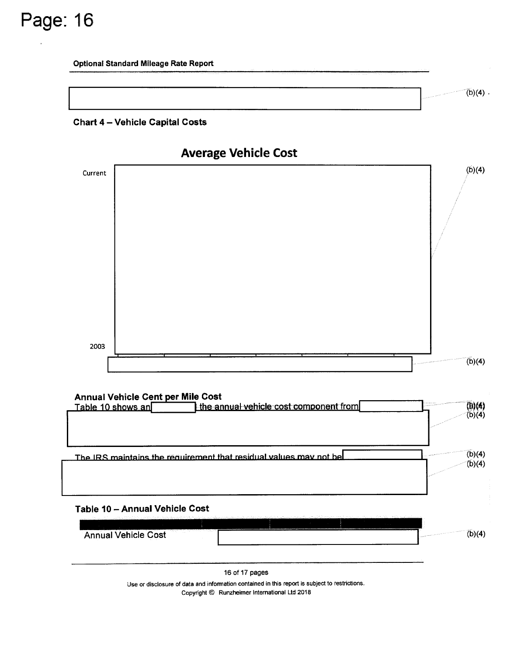





 $(b)(4)$ .

## **Annual Vehicle Cent per Mile Cost**

| Table 10 shows an              | the annual vehicle cost component from                                                                                                                                                                                                    | (b)(4)           |
|--------------------------------|-------------------------------------------------------------------------------------------------------------------------------------------------------------------------------------------------------------------------------------------|------------------|
|                                |                                                                                                                                                                                                                                           |                  |
|                                | The IRS maintains the requirement that residual values may not bel                                                                                                                                                                        | (b)(4)<br>(b)(4) |
|                                |                                                                                                                                                                                                                                           |                  |
|                                |                                                                                                                                                                                                                                           |                  |
| Table 10 - Annual Vehicle Cost | 1987 - 1998 - 1998 - 1998 - 1998 - 1998 - 1998 - 19 <del>88 - 1998 - 1998 - 1998 - 1998 - 1998 - 1998 - 1998 - 1998 - 1998 - 1998 - 1998 - 1998 - 1998 - 1998 - 1998 - 1998 - 1998 - 1998 - 1998 - 1998 - 1998 - 1998 - 1998 - 1998</del> |                  |



16 of 17 pages

Use or disclosure of data and information contained in this report is subject to restrictions. Copyright © Runzheimer International Ltd 2018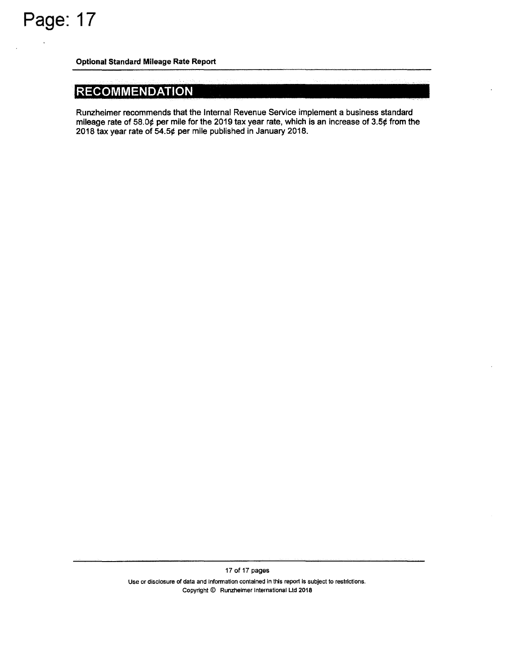## **RECOMMENDATION**

Runzheimer recommends that the Internal Revenue Service implement a business standard mileage rate of 58.0¢ per mile for the 2019 tax year rate, which is an increase of 3.5¢ from the 2018 tax year rate of 54.5¢ per mile published in January 2018.

> Use or disclosure of data and information contained in this report is subject to restrictions. Copyright© Runzheimer International Ltd 2018

17 of 17 pages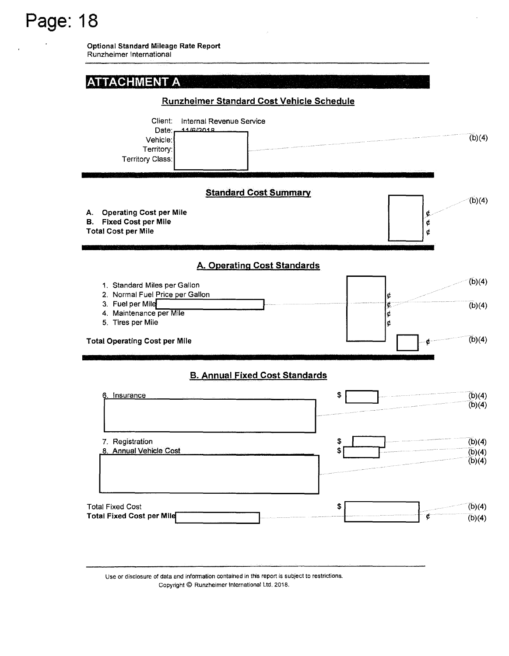**Optional Standard Mileage Rate Report**  Runzheimer International



Use or disclosure of data and information contained in this report is subject to restrictions. Copyright© Runzheimer International Ltd. 2018.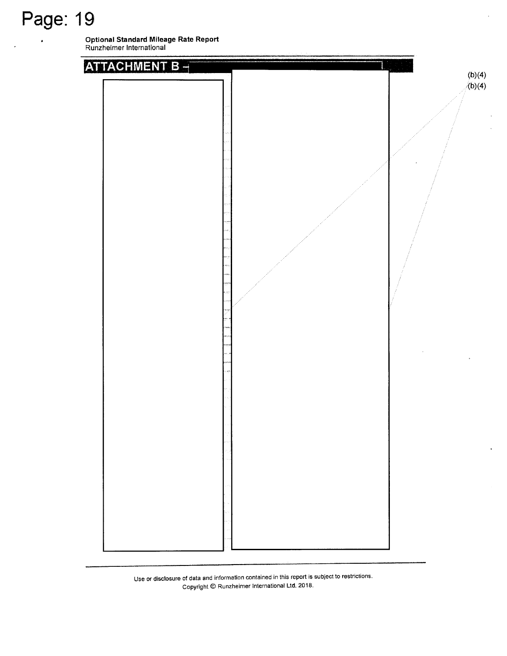**Optional Standard Mileage Rate Report**  Runzheimer International



Use or disclosure of data and information contained in this report is subject to restrictions. Copyright© Runzheimer International Ltd. 2018.